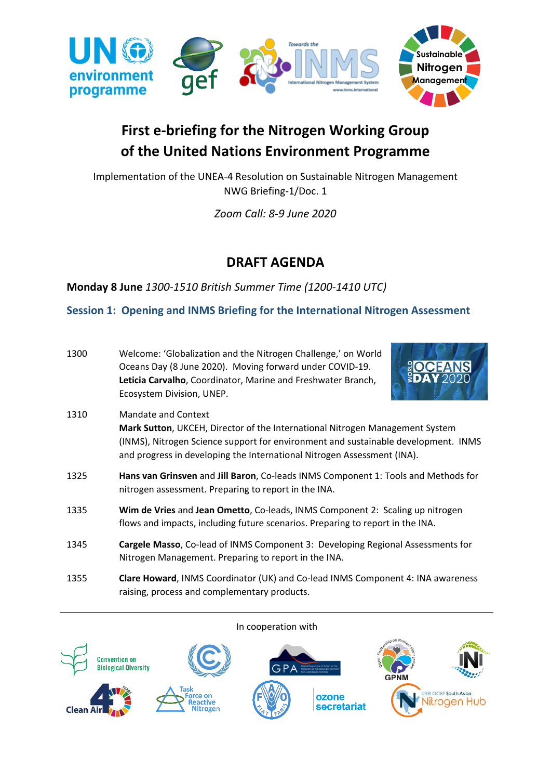

# **First e-briefing for the Nitrogen Working Group of the United Nations Environment Programme**

Implementation of the UNEA-4 Resolution on Sustainable Nitrogen Management NWG Briefing-1/Doc. 1

*Zoom Call: 8-9 June 2020*

## **DRAFT AGENDA**

**Monday 8 June** *1300-1510 British Summer Time (1200-1410 UTC)*

raising, process and complementary products.

## **Session 1: Opening and INMS Briefing for the International Nitrogen Assessment**

| 1300 | Welcome: 'Globalization and the Nitrogen Challenge,' on World<br><b>EOCEANS</b><br>Oceans Day (8 June 2020). Moving forward under COVID-19.<br><b>BDAY 2020</b><br>Leticia Carvalho, Coordinator, Marine and Freshwater Branch,<br>Ecosystem Division, UNEP.         |
|------|----------------------------------------------------------------------------------------------------------------------------------------------------------------------------------------------------------------------------------------------------------------------|
| 1310 | Mandate and Context<br>Mark Sutton, UKCEH, Director of the International Nitrogen Management System<br>(INMS), Nitrogen Science support for environment and sustainable development. INMS<br>and progress in developing the International Nitrogen Assessment (INA). |
| 1325 | Hans van Grinsven and Jill Baron, Co-leads INMS Component 1: Tools and Methods for<br>nitrogen assessment. Preparing to report in the INA.                                                                                                                           |
| 1335 | Wim de Vries and Jean Ometto, Co-leads, INMS Component 2: Scaling up nitrogen<br>flows and impacts, including future scenarios. Preparing to report in the INA.                                                                                                      |
| 1345 | Cargele Masso, Co-lead of INMS Component 3: Developing Regional Assessments for<br>Nitrogen Management. Preparing to report in the INA.                                                                                                                              |
| 1355 | Clare Howard, INMS Coordinator (UK) and Co-lead INMS Component 4: INA awareness                                                                                                                                                                                      |

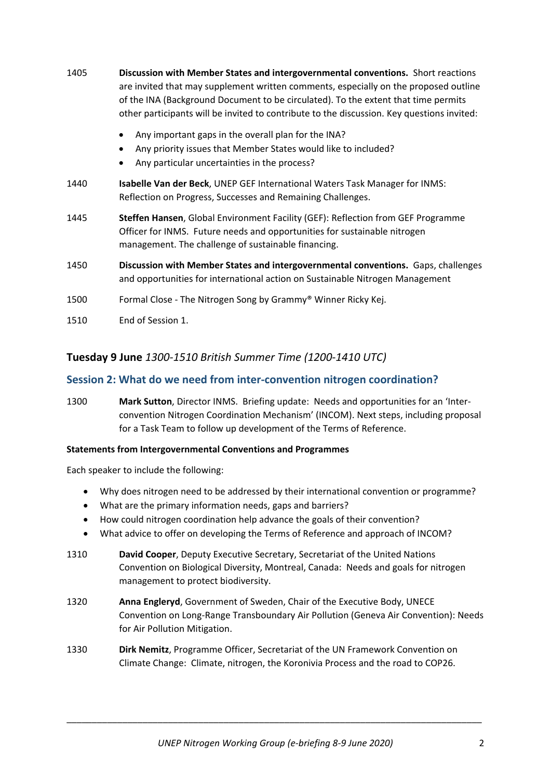- 1405 **Discussion with Member States and intergovernmental conventions.** Short reactions are invited that may supplement written comments, especially on the proposed outline of the INA (Background Document to be circulated). To the extent that time permits other participants will be invited to contribute to the discussion. Key questions invited:
	- Any important gaps in the overall plan for the INA?
	- Any priority issues that Member States would like to included?
	- Any particular uncertainties in the process?
- 1440 **Isabelle Van der Beck**, UNEP GEF International Waters Task Manager for INMS: Reflection on Progress, Successes and Remaining Challenges.
- 1445 **Steffen Hansen**, Global Environment Facility (GEF): Reflection from GEF Programme Officer for INMS. Future needs and opportunities for sustainable nitrogen management. The challenge of sustainable financing.
- 1450 **Discussion with Member States and intergovernmental conventions.** Gaps, challenges and opportunities for international action on Sustainable Nitrogen Management
- 1500 Formal Close The Nitrogen Song by Grammy® Winner Ricky Kej.
- 1510 End of Session 1.

## **Tuesday 9 June** *1300-1510 British Summer Time (1200-1410 UTC)*

### **Session 2: What do we need from inter-convention nitrogen coordination?**

1300 **Mark Sutton**, Director INMS. Briefing update: Needs and opportunities for an 'Interconvention Nitrogen Coordination Mechanism' (INCOM). Next steps, including proposal for a Task Team to follow up development of the Terms of Reference.

#### **Statements from Intergovernmental Conventions and Programmes**

Each speaker to include the following:

- Why does nitrogen need to be addressed by their international convention or programme?
- What are the primary information needs, gaps and barriers?
- How could nitrogen coordination help advance the goals of their convention?
- What advice to offer on developing the Terms of Reference and approach of INCOM?
- 1310 **David Cooper**, Deputy Executive Secretary, Secretariat of the United Nations Convention on Biological Diversity, Montreal, Canada: Needs and goals for nitrogen management to protect biodiversity.
- 1320 **Anna Engleryd**, Government of Sweden, Chair of the Executive Body, UNECE Convention on Long-Range Transboundary Air Pollution (Geneva Air Convention): Needs for Air Pollution Mitigation.
- 1330 **Dirk Nemitz**, Programme Officer, Secretariat of the UN Framework Convention on Climate Change: Climate, nitrogen, the Koronivia Process and the road to COP26.

\_\_\_\_\_\_\_\_\_\_\_\_\_\_\_\_\_\_\_\_\_\_\_\_\_\_\_\_\_\_\_\_\_\_\_\_\_\_\_\_\_\_\_\_\_\_\_\_\_\_\_\_\_\_\_\_\_\_\_\_\_\_\_\_\_\_\_\_\_\_\_\_\_\_\_\_\_\_\_\_\_\_